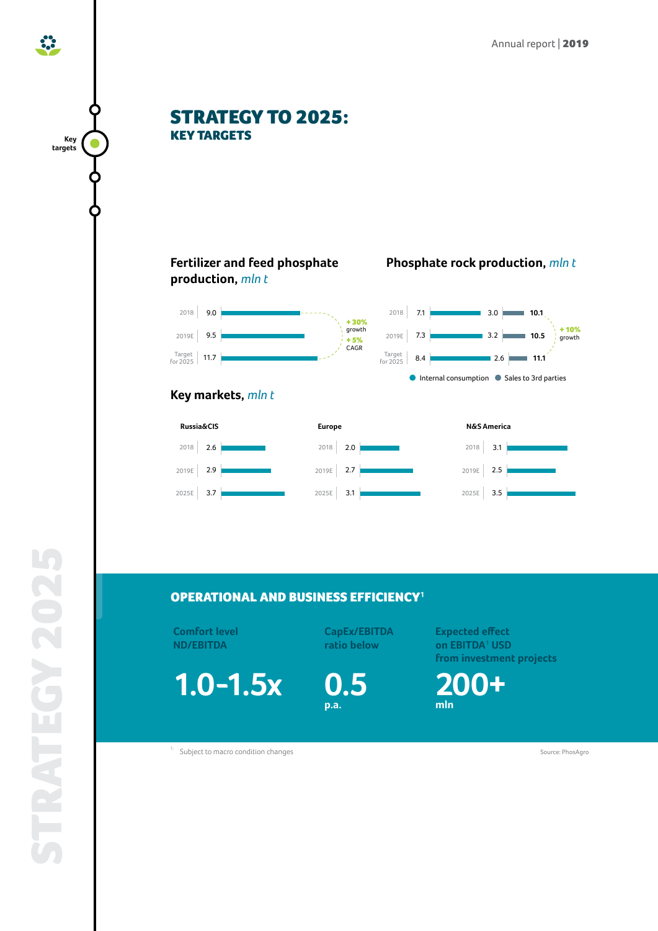**10.5**

+ 10% growth

**10.1**

**11.1**





## OPERATIONAL AND BUSINESS EFFICIENCY**[1](#page-0-0)**

**Comfort level ND/EBITDA**

**1.0-1.5x**

**CapEx/EBITDA ratio below**

**0.5 p.a.**

**Expected effect on EBITDA***<sup>1</sup>*  **USD from investment projects**

**200+ mln**

<span id="page-0-0"></span><sup>1.</sup> Subject to macro condition changes and the state of the state of the state of the source: PhosAgro 30 and 50 and 50 and 50 and 50 and 50 and 50 and 50 and 50 and 50 and 50 and 50 and 50 and 50 and 50 and 50 and 50 and

**Key targets**